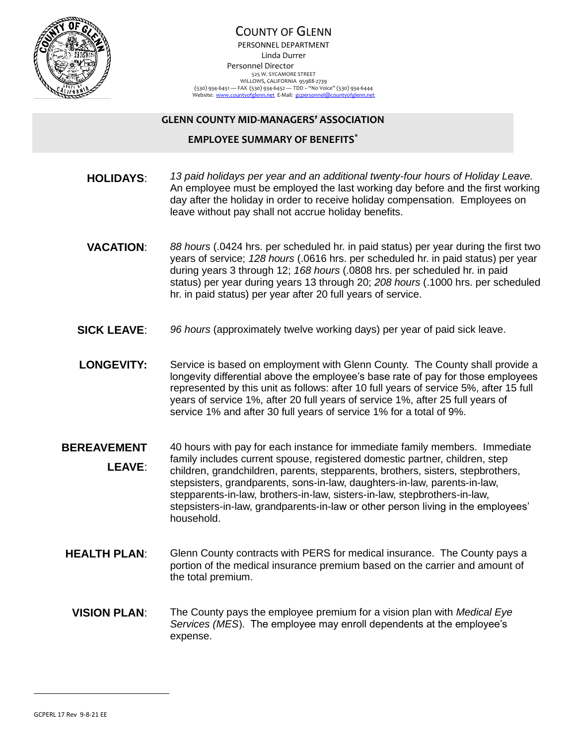

## COUNTY OF GLENN PERSONNEL DEPARTMENT Linda Durrer Personnel Director 525 W. SYCAMORE STREET WILLOWS, CALIFORNIA 95988-2739 (530) 934-6451 — FAX (530) 934-6452 — TDD – "No Voice" (530) 934-6444<br>Website: <u>www.countyofglenn.net</u> E-Mail: <u>gcpersonnel@countyofglenn.net</u>

## **GLENN COUNTY MID-MANAGERS' ASSOCIATION**

## **EMPLOYEE SUMMARY OF BENEFITS\***

- **HOLIDAYS**: *13 paid holidays per year and an additional twenty-four hours of Holiday Leave.* An employee must be employed the last working day before and the first working day after the holiday in order to receive holiday compensation. Employees on leave without pay shall not accrue holiday benefits.
- **VACATION**: *88 hours* (.0424 hrs. per scheduled hr. in paid status) per year during the first two years of service; *128 hours* (.0616 hrs. per scheduled hr. in paid status) per year during years 3 through 12; *168 hours* (.0808 hrs. per scheduled hr. in paid status) per year during years 13 through 20; *208 hours* (.1000 hrs. per scheduled hr. in paid status) per year after 20 full years of service.
- **SICK LEAVE**: *96 hours* (approximately twelve working days) per year of paid sick leave.
- **LONGEVITY:** Service is based on employment with Glenn County. The County shall provide a longevity differential above the employee's base rate of pay for those employees represented by this unit as follows: after 10 full years of service 5%, after 15 full years of service 1%, after 20 full years of service 1%, after 25 full years of service 1% and after 30 full years of service 1% for a total of 9%.
- **BEREAVEMENT LEAVE**: 40 hours with pay for each instance for immediate family members. Immediate family includes current spouse, registered domestic partner, children, step children, grandchildren, parents, stepparents, brothers, sisters, stepbrothers, stepsisters, grandparents, sons-in-law, daughters-in-law, parents-in-law, stepparents-in-law, brothers-in-law, sisters-in-law, stepbrothers-in-law, stepsisters-in-law, grandparents-in-law or other person living in the employees' household.
- **HEALTH PLAN:** Glenn County contracts with PERS for medical insurance. The County pays a portion of the medical insurance premium based on the carrier and amount of the total premium.
- **VISION PLAN**: The County pays the employee premium for a vision plan with *Medical Eye Services (MES*). The employee may enroll dependents at the employee's expense.